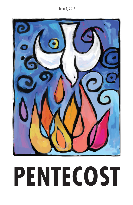June 4, 2017



# **PENTECOST**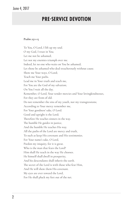# **PRE-SERVICE DEVOTION**

#### **Psalm 25:1-15**

To You, O Lord, I lift up my soul. O my God, I trust in You; Let me not be ashamed; Let not my enemies triumph over me. Indeed, let no one who waits on You be ashamed; Let those be ashamed who deal treacherously without cause. Show me Your ways, O Lord; Teach me Your paths. Lead me in Your truth and teach me, For You are the God of my salvation; On You I wait all the day. Remember, O Lord, Your tender mercies and Your lovingkindnesses, For they are from of old. Do not remember the sins of my youth, nor my transgressions; According to Your mercy remember me, For Your goodness' sake, O Lord. Good and upright is the Lord; Therefore He teaches sinners in the way. The humble He guides in justice, And the humble He teaches His way. All the paths of the Lord are mercy and truth, To such as keep His covenant and His testimonies. For Your name's sake, O Lord, Pardon my iniquity, for it is great. Who is the man that fears the Lord? Him shall He teach in the way He chooses. He himself shall dwell in prosperity, And his descendants shall inherit the earth. The secret of the Lord is with those who fear Him, And He will show them His covenant. My eyes are ever toward the Lord, For He shall pluck my feet out of the net.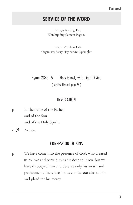# **SERVICE OF THE WORD**

Liturgy Setting Two Worship Supplement Page 12

Pastor Matthew Ude Organists: Barry Hay & Ann Springler

# Hymn 234:1-5 – Holy Ghost, with Light Divine

( My First Hymnal, page 76 )

## INVOCATION

p In the name of the Father and of the Son and of the Holy Spirit.

**c A-men.**

# CONFESSION OF SINS

p We have come into the presence of God, who created us to love and serve him as his dear children. But we have disobeyed him and deserve only his wrath and punishment. Therefore, let us confess our sins to him and plead for his mercy.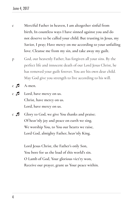- **c Merciful Father in heaven, I am altogether sinful from birth, In countless ways I have sinned against you and do not deserve to be called your child. But trusting in Jesus, my Savior, I pray; Have mercy on me according to your unfailing love. Cleanse me from my sin, and take away my guilt.**
- p God, our heavenly Father, has forgiven all your sins. By the perfect life and innocent death of our Lord Jesus Christ, he has removed your guilt forever. You are his own dear child. May God give you strength to live according to his will.
- **c A-men.**
- **c Lord, have mercy on us. Christ, have mercy on us. Lord, have mercy on us.**
- **c Glory to God, we give You thanks and praise; Of heav'nly joy and peace on earth we sing. We worship You, to You our hearts we raise, Lord God, almighty Father, heav'nly King.**

**Lord Jesus Christ, the Father's only Son, You bore for us the load of this world's sin. O Lamb of God, Your glorious vict'ry won, Receive our prayer, grant us Your peace within.**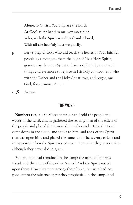**Alone, O Christ, You only are the Lord, At God's right hand in majesty most high: Who, with the Spirit worshiped and adored, With all the heav'nly host we glorify.**

p Let us pray O God, who did teach the hearts of Your faithful people by sending to them the light of Your Holy Spirit, grant us by the same Spirit to have a right judgment in all things and evermore to rejoice in His holy comfort; You who with the Father and the Holy Ghost lives, and reigns, one God, forevermore. Amen

**c A-men.**

## THE WORD

**Numbers 11:24-30** So Moses went out and told the people the words of the Lord, and he gathered the seventy men of the elders of the people and placed them around the tabernacle. Then the Lord came down in the cloud, and spoke to him, and took of the Spirit that was upon him, and placed the same upon the seventy elders; and it happened, when the Spirit rested upon them, that they prophesied, although they never did so again.

But two men had remained in the camp: the name of one was Eldad, and the name of the other Medad. And the Spirit rested upon them. Now they were among those listed, but who had not gone out to the tabernacle; yet they prophesied in the camp. And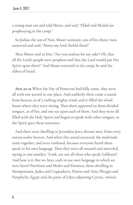a young man ran and told Moses, and said, "Eldad and Medad are prophesying in the camp."

So Joshua the son of Nun, Moses' assistant, one of his choice men, answered and said, "Moses my lord, forbid them!"

Then Moses said to him, "Are you zealous for my sake? Oh, that all the Lord's people were prophets and that the Lord would put His Spirit upon them!" And Moses returned to the camp, he and the elders of Israel.

**Acts 2:1-21** When the Day of Pentecost had fully come, they were all with one accord in one place. And suddenly there came a sound from heaven, as of a rushing mighty wind, and it filled the whole house where they were sitting. Then there appeared to them divided tongues, as of fire, and one sat upon each of them. And they were all filled with the Holy Spirit and began to speak with other tongues, as the Spirit gave them utterance.

And there were dwelling in Jerusalem Jews, devout men, from every nation under heaven. And when this sound occurred, the multitude came together, and were confused, because everyone heard them speak in his own language. Then they were all amazed and marveled, saying to one another, "Look, are not all these who speak Galileans? And how is it that we hear, each in our own language in which we were born? Parthians and Medes and Elamites, those dwelling in Mesopotamia, Judea and Cappadocia, Pontus and Asia, Phrygia and Pamphylia, Egypt and the parts of Libya adjoining Cyrene, visitors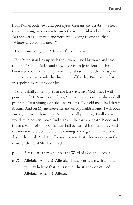from Rome, both Jews and proselytes, Cretans and Arabs—we hear them speaking in our own tongues the wonderful works of God." So they were all amazed and perplexed, saying to one another, "Whatever could this mean?"

Others mocking said, "They are full of new wine."

But Peter, standing up with the eleven, raised his voice and said to them, "Men of Judea and all who dwell in Jerusalem, let this be known to you, and heed my words. For these are not drunk, as you suppose, since it is only the third hour of the day. But this is what was spoken by the prophet Joel:

'And it shall come to pass in the last days, says God, That I will pour out of My Spirit on all flesh; Your sons and your daughters shall prophesy, Your young men shall see visions, Your old men shall dream dreams. And on My menservants and on My maidservants I will pour out My Spirit in those days; And they shall prophesy. I will show wonders in heaven above And signs in the earth beneath: Blood and fire and vapor of smoke. The sun shall be turned into darkness, And the moon into blood, Before the coming of the great and awesome day of the Lord. And it shall come to pass That whoever calls on the name of the Lord Shall be saved.'

- p Blessed are they who hear the Word of God and keep it!
- **c Alleluia! Alleluia! Alleluia! These words are written that we may believe that Jesus is the Christ, the Son of God. Alleluia! Alleluia! Alleluia!**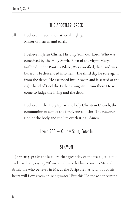## THE APOSTLES' CREED

**aall I believe in God, the Father almighty, Maker of heaven and earth.**

> **I believe in Jesus Christ, His only Son, our Lord; Who was conceived by the Holy Spirit, Born of the virgin Mary; Suffered under Pontius Pilate, Was crucified, died, and was buried. He descended into hell. The third day he rose again from the dead; He ascended into heaven and is seated at the right hand of God the Father almighty. From there He will come to judge the living and the dead.**

**I believe in the Holy Spirit; the holy Christian Church, the communion of saints; the forgiveness of sins, The resurrection of the body and the life everlasting. Amen.**

Hymn 235 – O Holy Spirit, Enter In

#### **SERMON**

**John 7:37-39** On the last day, that great day of the feast, Jesus stood and cried out, saying, "If anyone thirsts, let him come to Me and drink. He who believes in Me, as the Scripture has said, out of his heart will flow rivers of living water." But this He spoke concerning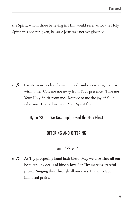the Spirit, whom those believing in Him would receive; for the Holy Spirit was not yet given, because Jesus was not yet glorified.

**c Create in me a clean heart, O God, and renew a right spirit within me. Cast me not away from Your presence. Take not Your Holy Spirit from me. Restore to me the joy of Your salvation. Uphold me with Your Spirit free.**

Hymn 231 – We Now Implore God the Holy Ghost

## OFFERING AND OFFERING

Hymn: 572 vs. 4

**c As Thy prospering hand hath blest, May we give Thee all our best And by deeds of kindly love For Thy mercies grateful prove, Singing thus through all our days Praise to God, immortal praise.**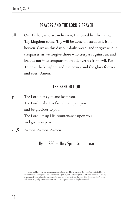## PRAYERS AND THE LORD'S PRAYER

all Our Father, who art in heaven, Hallowed be Thy name, **Thy kingdom come, Thy will be done on earth as it is in heaven. Give us this day our daily bread; and forgive us our trespasses, as we forgive those who trespass against us; and lead us not into temptation, but deliver us from evil. For Thine is the kingdom and the power and the glory forever and ever. Amen.**

## THE BENEDICTION

p The Lord bless you and keep you. The Lord make His face shine upon you and be gracious to you. The Lord lift up His countenance upon you and give you peace.

**c A-men A-men A-men.**

Hymn 230 – Holy Spirit, God of Love

Hymns and liturgical settings under copyright are used by permission through Concordia Publishing House License #000014029, OneLicense.net #A-717140, or CCLI #11227828. All Rights reserved. Used by permission. Unless otherwise indicated, Scriptures quoted are from the New King James Version® of the Holy Bible, ©1982 by Thomas Nelson, Inc. Used by permission. All rights reserved.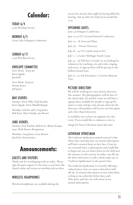# **Calendar:**

TODAY 6/4 9 am Worship Service

#### MONDAY 6/5

Great Lake Delegates Conference

#### SUNDAY 6/11

9 am Worship Service

#### ENVELOPE COMMITTEE

Next Week: Team #6: Kent Quade, Jim Kok

Next Week: Team #1: Dennis Jones, Jeff Jones

#### MAY USHERS:

Sundays: Dave Dillie, Paul Eserhut, Kent Quade, Drew Muehlenhaupt

Mondays and the 25th: Greg Jones, Bob Kirst, Matt Dumke, Joe Brown

#### JUNE USHERS:

Sundays: Paul Eserhut, Bob Kirst, Blaine Kempenaar, Mark Brown-Kempenaar

Mondays: Greg Jones, Gary Brown, Jim Kok, Dennis Jones

# **Announcements:**

### GUESTS AND VISITORS

Thank you for worshipping with us today. Please sign the guest register in the entry as you leave the church today and return to worship with us often.

#### WIRELESS HEADPHONES

Wireless headphones are available during the

service for anyone who might be having difficulty hearing. Ask an usher for help if you would like a set.

#### UPCOMING DATES:

June 5,6 Delegates Conference

June 13-15 CLC General Pastoral Conference

June 15 – 18 Arise and Shine

July 7,8 – Picture Directory

July 18 – 24 CLC youth camp at ILC

July 7 – 10 Lower Michigan Youth Camp

July 24 – 28 VBS here at Faith, we are looking for volunteers for teaching, arts and crafts, singing, and recess. A sign up sheet will be put up on the bulletin board soon.

July 25 – 27 Ark Encounter / Creation Museum Visit

#### PICTURE DIRECTORY

We will be working on a new picture directory this summer. The photographers will be here in the church July 7th and 8th. Soon we will have a signup sheet available for people to sign up for times to come and get your picture taken for the directory. All members will receive one free photo and a free church directory.

It would be nice to have an organizer for this event. If you would like to volunteer to be in

charge let Pastor Ude know (920) 398-0260

#### LUTHERAN SPOKESMAN

The Lutheran Spokesman annual renewal is due. Those who currently have an annual subscription will find a renewal form in their box, if you do not currently have a subscription and would like to begin one you can find a form on the shelf near the entrance to the sacristy. In either case fill out the form and return it with a check made out to "Lutheran Spokesman" to the pastor's box.

The Lutheran Spokesman is currently offering a reduced price of \$12 to return subscribers half off, \$6, its annual subscription to new subscribers, as long as you subscribe before June 30th. After June 30th the rate will return to \$15 annual subscription.